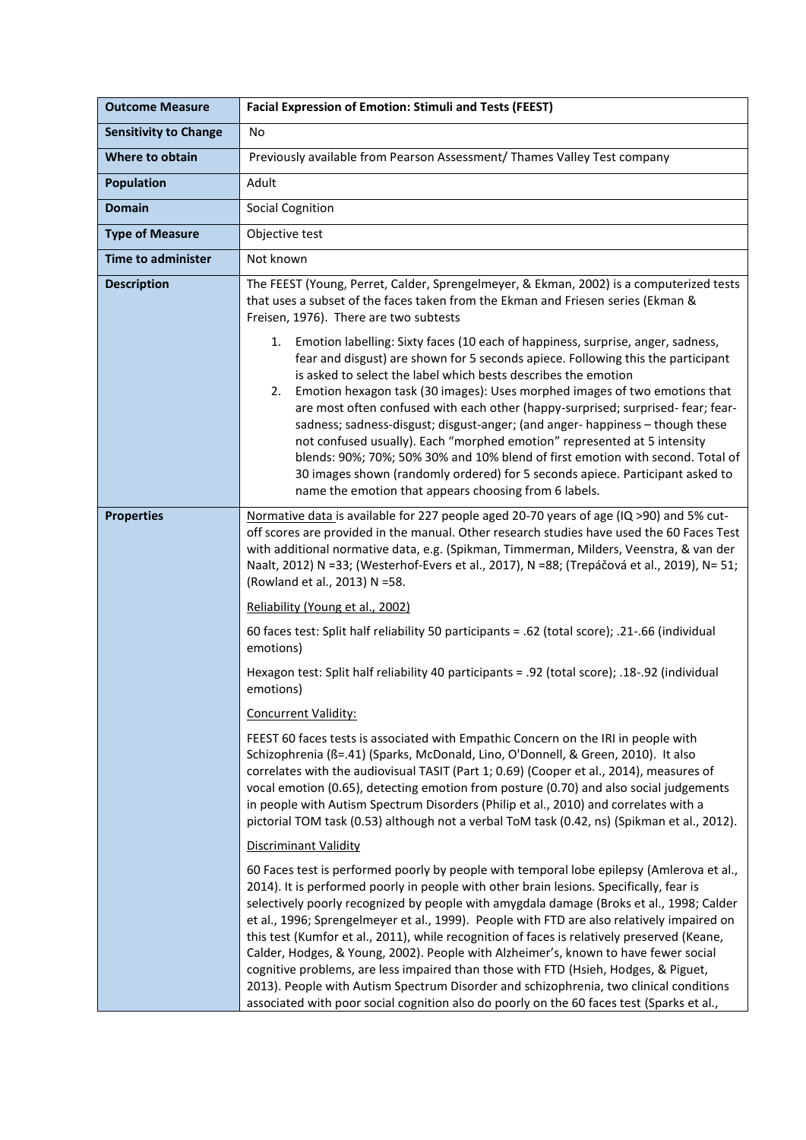| <b>Outcome Measure</b>       | <b>Facial Expression of Emotion: Stimuli and Tests (FEEST)</b>                                                                                                                                                                                                                                                                                                                                                                                                                                                                                                                                                                                                                                                                                                                                                                                     |
|------------------------------|----------------------------------------------------------------------------------------------------------------------------------------------------------------------------------------------------------------------------------------------------------------------------------------------------------------------------------------------------------------------------------------------------------------------------------------------------------------------------------------------------------------------------------------------------------------------------------------------------------------------------------------------------------------------------------------------------------------------------------------------------------------------------------------------------------------------------------------------------|
| <b>Sensitivity to Change</b> | No                                                                                                                                                                                                                                                                                                                                                                                                                                                                                                                                                                                                                                                                                                                                                                                                                                                 |
| Where to obtain              | Previously available from Pearson Assessment/ Thames Valley Test company                                                                                                                                                                                                                                                                                                                                                                                                                                                                                                                                                                                                                                                                                                                                                                           |
| <b>Population</b>            | Adult                                                                                                                                                                                                                                                                                                                                                                                                                                                                                                                                                                                                                                                                                                                                                                                                                                              |
| <b>Domain</b>                | <b>Social Cognition</b>                                                                                                                                                                                                                                                                                                                                                                                                                                                                                                                                                                                                                                                                                                                                                                                                                            |
| <b>Type of Measure</b>       | Objective test                                                                                                                                                                                                                                                                                                                                                                                                                                                                                                                                                                                                                                                                                                                                                                                                                                     |
| <b>Time to administer</b>    | Not known                                                                                                                                                                                                                                                                                                                                                                                                                                                                                                                                                                                                                                                                                                                                                                                                                                          |
| <b>Description</b>           | The FEEST (Young, Perret, Calder, Sprengelmeyer, & Ekman, 2002) is a computerized tests<br>that uses a subset of the faces taken from the Ekman and Friesen series (Ekman &<br>Freisen, 1976). There are two subtests                                                                                                                                                                                                                                                                                                                                                                                                                                                                                                                                                                                                                              |
|                              | 1. Emotion labelling: Sixty faces (10 each of happiness, surprise, anger, sadness,<br>fear and disgust) are shown for 5 seconds apiece. Following this the participant<br>is asked to select the label which bests describes the emotion<br>Emotion hexagon task (30 images): Uses morphed images of two emotions that<br>2.<br>are most often confused with each other (happy-surprised; surprised-fear; fear-<br>sadness; sadness-disgust; disgust-anger; (and anger- happiness - though these<br>not confused usually). Each "morphed emotion" represented at 5 intensity<br>blends: 90%; 70%; 50% 30% and 10% blend of first emotion with second. Total of<br>30 images shown (randomly ordered) for 5 seconds apiece. Participant asked to<br>name the emotion that appears choosing from 6 labels.                                           |
| <b>Properties</b>            | Normative data is available for 227 people aged 20-70 years of age (IQ >90) and 5% cut-<br>off scores are provided in the manual. Other research studies have used the 60 Faces Test<br>with additional normative data, e.g. (Spikman, Timmerman, Milders, Veenstra, & van der<br>Naalt, 2012) N =33; (Westerhof-Evers et al., 2017), N =88; (Trepáčová et al., 2019), N= 51;<br>(Rowland et al., 2013) N =58.                                                                                                                                                                                                                                                                                                                                                                                                                                     |
|                              | Reliability (Young et al., 2002)                                                                                                                                                                                                                                                                                                                                                                                                                                                                                                                                                                                                                                                                                                                                                                                                                   |
|                              | 60 faces test: Split half reliability 50 participants = .62 (total score); .21-.66 (individual<br>emotions)                                                                                                                                                                                                                                                                                                                                                                                                                                                                                                                                                                                                                                                                                                                                        |
|                              | Hexagon test: Split half reliability 40 participants = .92 (total score); .18-.92 (individual<br>emotions)                                                                                                                                                                                                                                                                                                                                                                                                                                                                                                                                                                                                                                                                                                                                         |
|                              | Concurrent Validity:                                                                                                                                                                                                                                                                                                                                                                                                                                                                                                                                                                                                                                                                                                                                                                                                                               |
|                              | FEEST 60 faces tests is associated with Empathic Concern on the IRI in people with<br>Schizophrenia (ß=.41) (Sparks, McDonald, Lino, O'Donnell, & Green, 2010). It also<br>correlates with the audiovisual TASIT (Part 1; 0.69) (Cooper et al., 2014), measures of<br>vocal emotion (0.65), detecting emotion from posture (0.70) and also social judgements<br>in people with Autism Spectrum Disorders (Philip et al., 2010) and correlates with a<br>pictorial TOM task (0.53) although not a verbal ToM task (0.42, ns) (Spikman et al., 2012).                                                                                                                                                                                                                                                                                                |
|                              | Discriminant Validity                                                                                                                                                                                                                                                                                                                                                                                                                                                                                                                                                                                                                                                                                                                                                                                                                              |
|                              | 60 Faces test is performed poorly by people with temporal lobe epilepsy (Amlerova et al.,<br>2014). It is performed poorly in people with other brain lesions. Specifically, fear is<br>selectively poorly recognized by people with amygdala damage (Broks et al., 1998; Calder<br>et al., 1996; Sprengelmeyer et al., 1999). People with FTD are also relatively impaired on<br>this test (Kumfor et al., 2011), while recognition of faces is relatively preserved (Keane,<br>Calder, Hodges, & Young, 2002). People with Alzheimer's, known to have fewer social<br>cognitive problems, are less impaired than those with FTD (Hsieh, Hodges, & Piguet,<br>2013). People with Autism Spectrum Disorder and schizophrenia, two clinical conditions<br>associated with poor social cognition also do poorly on the 60 faces test (Sparks et al., |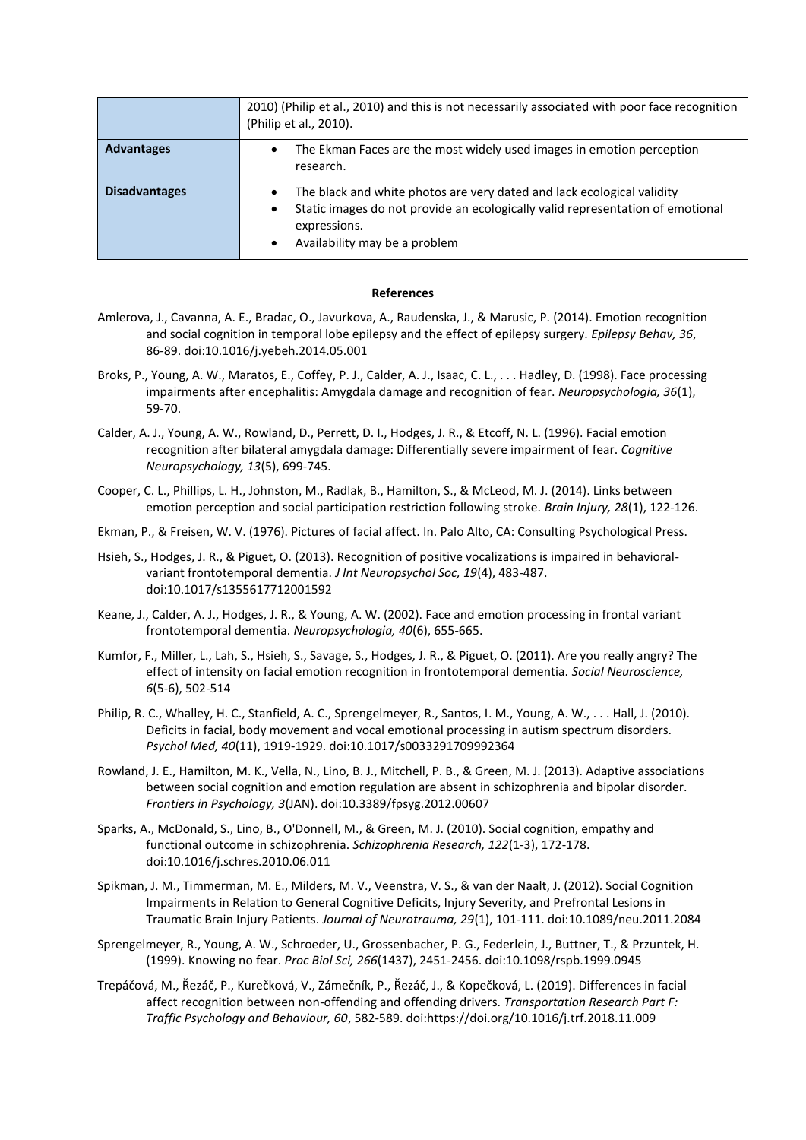|                      | 2010) (Philip et al., 2010) and this is not necessarily associated with poor face recognition<br>(Philip et al., 2010).                                                                                             |
|----------------------|---------------------------------------------------------------------------------------------------------------------------------------------------------------------------------------------------------------------|
| <b>Advantages</b>    | The Ekman Faces are the most widely used images in emotion perception<br>$\bullet$<br>research.                                                                                                                     |
| <b>Disadvantages</b> | The black and white photos are very dated and lack ecological validity<br>Static images do not provide an ecologically valid representation of emotional<br>٠<br>expressions.<br>Availability may be a problem<br>٠ |

## **References**

- Amlerova, J., Cavanna, A. E., Bradac, O., Javurkova, A., Raudenska, J., & Marusic, P. (2014). Emotion recognition and social cognition in temporal lobe epilepsy and the effect of epilepsy surgery. *Epilepsy Behav, 36*, 86-89. doi:10.1016/j.yebeh.2014.05.001
- Broks, P., Young, A. W., Maratos, E., Coffey, P. J., Calder, A. J., Isaac, C. L., . . . Hadley, D. (1998). Face processing impairments after encephalitis: Amygdala damage and recognition of fear. *Neuropsychologia, 36*(1), 59-70.
- Calder, A. J., Young, A. W., Rowland, D., Perrett, D. I., Hodges, J. R., & Etcoff, N. L. (1996). Facial emotion recognition after bilateral amygdala damage: Differentially severe impairment of fear. *Cognitive Neuropsychology, 13*(5), 699-745.
- Cooper, C. L., Phillips, L. H., Johnston, M., Radlak, B., Hamilton, S., & McLeod, M. J. (2014). Links between emotion perception and social participation restriction following stroke. *Brain Injury, 28*(1), 122-126.
- Ekman, P., & Freisen, W. V. (1976). Pictures of facial affect. In. Palo Alto, CA: Consulting Psychological Press.
- Hsieh, S., Hodges, J. R., & Piguet, O. (2013). Recognition of positive vocalizations is impaired in behavioralvariant frontotemporal dementia. *J Int Neuropsychol Soc, 19*(4), 483-487. doi:10.1017/s1355617712001592
- Keane, J., Calder, A. J., Hodges, J. R., & Young, A. W. (2002). Face and emotion processing in frontal variant frontotemporal dementia. *Neuropsychologia, 40*(6), 655-665.
- Kumfor, F., Miller, L., Lah, S., Hsieh, S., Savage, S., Hodges, J. R., & Piguet, O. (2011). Are you really angry? The effect of intensity on facial emotion recognition in frontotemporal dementia. *Social Neuroscience, 6*(5-6), 502-514
- Philip, R. C., Whalley, H. C., Stanfield, A. C., Sprengelmeyer, R., Santos, I. M., Young, A. W., . . . Hall, J. (2010). Deficits in facial, body movement and vocal emotional processing in autism spectrum disorders. *Psychol Med, 40*(11), 1919-1929. doi:10.1017/s0033291709992364
- Rowland, J. E., Hamilton, M. K., Vella, N., Lino, B. J., Mitchell, P. B., & Green, M. J. (2013). Adaptive associations between social cognition and emotion regulation are absent in schizophrenia and bipolar disorder. *Frontiers in Psychology, 3*(JAN). doi:10.3389/fpsyg.2012.00607
- Sparks, A., McDonald, S., Lino, B., O'Donnell, M., & Green, M. J. (2010). Social cognition, empathy and functional outcome in schizophrenia. *Schizophrenia Research, 122*(1-3), 172-178. doi:10.1016/j.schres.2010.06.011
- Spikman, J. M., Timmerman, M. E., Milders, M. V., Veenstra, V. S., & van der Naalt, J. (2012). Social Cognition Impairments in Relation to General Cognitive Deficits, Injury Severity, and Prefrontal Lesions in Traumatic Brain Injury Patients. *Journal of Neurotrauma, 29*(1), 101-111. doi:10.1089/neu.2011.2084
- Sprengelmeyer, R., Young, A. W., Schroeder, U., Grossenbacher, P. G., Federlein, J., Buttner, T., & Przuntek, H. (1999). Knowing no fear. *Proc Biol Sci, 266*(1437), 2451-2456. doi:10.1098/rspb.1999.0945
- Trepáčová, M., Řezáč, P., Kurečková, V., Zámečník, P., Řezáč, J., & Kopečková, L. (2019). Differences in facial affect recognition between non-offending and offending drivers. *Transportation Research Part F: Traffic Psychology and Behaviour, 60*, 582-589. doi:https://doi.org/10.1016/j.trf.2018.11.009